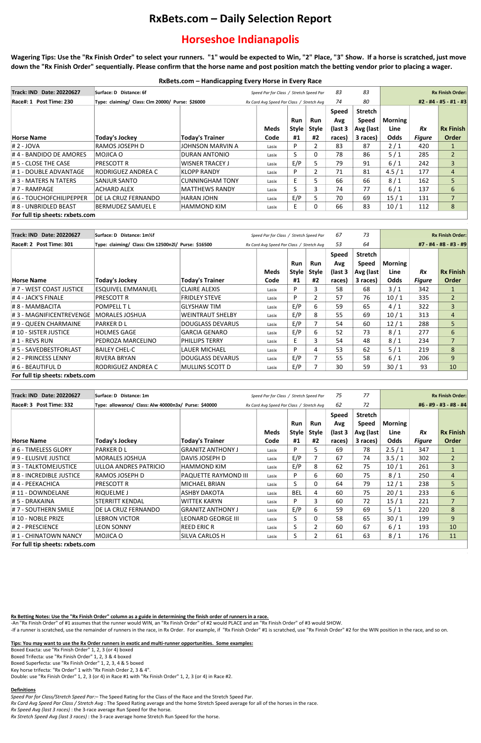# **RxBets.com – Daily Selection Report**

# **Horseshoe Indianapolis**

**Wagering Tips: Use the "Rx Finish Order" to select your runners. "1" would be expected to Win, "2" Place, "3" Show. If a horse is scratched, just move down the "Rx Finish Order" sequentially. Please confirm that the horse name and post position match the betting vendor prior to placing a wager.**

-An "Rx Finish Order" of #1 assumes that the runner would WIN, an "Rx Finish Order" of #2 would PLACE and an "Rx Finish Order" of #3 would SHOW. -If a runner is scratched, use the remainder of runners in the race, in Rx Order. For example, if "Rx Finish Order" #1 is scratched, use "Rx Finish Order" #2 for the WIN position in the race, and so on.

# **RxBets.com – Handicapping Every Horse in Every Race**

## **Rx Betting Notes: Use the "Rx Finish Order" column as a guide in determining the finish order of runners in a race.**

### **Tips: You may want to use the Rx Order runners in exotic and multi-runner opportunities. Some examples:**

Boxed Exacta: use "Rx Finish Order" 1, 2, 3 (or 4) boxed Boxed Trifecta: use "Rx Finish Order" 1, 2, 3 & 4 boxed Boxed Superfecta: use "Rx Finish Order" 1, 2, 3, 4 & 5 boxed Key horse trifecta: "Rx Order" 1 with "Rx Finish Order 2, 3 & 4". Double: use "Rx Finish Order" 1, 2, 3 (or 4) in Race #1 with "Rx Finish Order" 1, 2, 3 (or 4) in Race #2.

#### **Definitions**

*Speed Par for Class/Stretch Speed Par:*– The Speed Rating for the Class of the Race and the Stretch Speed Par.

*Rx Card Avg Speed Par Class / Stretch Avg* : The Speed Rating average and the home Stretch Speed average for all of the horses in the race.

*Rx Speed Avg (last 3 races)* : the 3-race average Run Speed for the horse.

*Rx Stretch Speed Avg (last 3 races)* : the 3-race average home Stretch Run Speed for the horse.

| <b>Track: IND Date: 20220627</b> | Surface: D Distance: 6f                          |                                           |             | Speed Par for Class / Stretch Speed Par |                |              | 83                     |                |               | <b>Rx Finish Order:</b> |  |
|----------------------------------|--------------------------------------------------|-------------------------------------------|-------------|-----------------------------------------|----------------|--------------|------------------------|----------------|---------------|-------------------------|--|
| Race#: 1 Post Time: 230          | Type: claiming/ Class: Clm 20000/ Purse: \$26000 | Rx Card Avg Speed Par Class / Stretch Avg |             |                                         | 74             | 80           | #2 - #4 - #5 - #1 - #3 |                |               |                         |  |
|                                  |                                                  |                                           |             |                                         |                | <b>Speed</b> | <b>Stretch</b>         |                |               |                         |  |
|                                  |                                                  |                                           |             | Run                                     | Run            | Avg          | <b>Speed</b>           | <b>Morning</b> |               |                         |  |
|                                  |                                                  |                                           | <b>Meds</b> | Style                                   | <b>Style</b>   | (last 3      | Avg (last)             | Line           | <b>Rx</b>     | <b>Rx Finish</b>        |  |
| Horse Name                       | <b>Today's Jockey</b>                            | <b>Today's Trainer</b>                    | Code        | #1                                      | #2             | races)       | 3 races)               | Odds           | <b>Figure</b> | Order                   |  |
| $# 2 - JOVA$                     | RAMOS JOSEPH D                                   | JOHNSON MARVIN A                          | Lasix       | D.                                      | 2              | 83           | 87                     | 2/1            | 420           |                         |  |
| $\#$ 4 - BANDIDO DE AMORES       | MOJICA O                                         | DURAN ANTONIO                             | Lasix       | ς                                       | 0              | 78           | 86                     | $5/1$          | 285           | $\overline{2}$          |  |
| $\sharp$ 5 - CLOSE THE CASE      | PRESCOTT R                                       | <b>WISNER TRACEY J</b>                    | Lasix       | E/P                                     | 5              | 79           | 91                     | 6/1            | 242           | 3                       |  |
| # 1 - DOUBLE ADVANTAGE           | RODRIGUEZ ANDREA C                               | KLOPP RANDY                               | Lasix       | P                                       | $\overline{2}$ | 71           | 81                     | 4.5/1          | 177           | 4                       |  |
| # 3 - MATERS N TATERS            | ISANJUR SANTO                                    | <b>CUNNINGHAM TONY</b>                    | Lasix       | E                                       | 5              | 66           | 66                     | 8/1            | 162           | 5                       |  |
| # 7 - RAMPAGE                    | ACHARD ALEX                                      | <b>MATTHEWS RANDY</b>                     | Lasix       | S                                       | 3              | 74           | 77                     | $6/1$          | 137           | 6                       |  |
| #6-TOUCHOFCHILIPEPPER            | DE LA CRUZ FERNANDO                              | HARAN JOHN                                | Lasix       | E/P                                     | 5              | 70           | 69                     | 15/1           | 131           | $\overline{7}$          |  |
| #8 - UNBRIDLED BEAST             | BERMUDEZ SAMUEL E                                | <b>HAMMOND KIM</b>                        | Lasix       | F                                       | $\Omega$       | 66           | 83                     | 10/1           | 112           | 8                       |  |
| For full tip sheets: rxbets.com  |                                                  |                                           |             |                                         |                |              |                        |                |               |                         |  |

| <b>Track: IND Date: 20220627</b> | Surface: D Distance: 1m1/2f                         |                                           | Speed Par for Class / Stretch Speed Par |              |                     | 67                             | 73                                          | <b>Rx Finish Order:</b> |               |                  |
|----------------------------------|-----------------------------------------------------|-------------------------------------------|-----------------------------------------|--------------|---------------------|--------------------------------|---------------------------------------------|-------------------------|---------------|------------------|
| Race#: 2 Post Time: 301          | Type: claiming/ Class: Clm 12500n2l/ Purse: \$16500 | Rx Card Avg Speed Par Class / Stretch Avg |                                         |              | 53                  | 64                             | #7 - #4 - #8 - #3 - #9                      |                         |               |                  |
|                                  |                                                     |                                           | <b>Meds</b>                             | Run<br>Style | Run<br><b>Style</b> | <b>Speed</b><br>Avg<br>(last 3 | <b>Stretch</b><br><b>Speed</b><br>Avg (last | Morning<br>Line         | <b>Rx</b>     | <b>Rx Finish</b> |
| <b>Horse Name</b>                | <b>Today's Jockey</b>                               | <b>Today's Trainer</b>                    | Code                                    | #1           | #2                  | races)                         | 3 races)                                    | <b>Odds</b>             | <b>Figure</b> | <b>Order</b>     |
| #7 - WEST COAST JUSTICE          | <b>ESQUIVEL EMMANUEL</b>                            | <b>CLAIRE ALEXIS</b>                      | Lasix                                   | P.           | 3                   | 58                             | 68                                          | 3/1                     | 342           |                  |
| $\sharp$ 4 - JACK'S FINALE       | <b>PRESCOTT R</b>                                   | <b>FRIDLEY STEVE</b>                      | Lasix                                   | P.           | $\overline{2}$      | 57                             | 76                                          | 10/1                    | 335           | $\overline{2}$   |
| # 8 - MAMBACITA                  | <b>POMPELL T L</b>                                  | <b>GLYSHAW TIM</b>                        | Lasix                                   | E/P          | 6                   | 59                             | 65                                          | 4/1                     | 322           | 3                |
| #3 - MAGNIFICENTREVENGE          | <b>MORALES JOSHUA</b>                               | <b>WEINTRAUT SHELBY</b>                   | Lasix                                   | E/P          | 8                   | 55                             | 69                                          | 10/1                    | 313           | $\overline{4}$   |
| #9 - QUEEN CHARMAINE             | PARKER D L                                          | <b>DOUGLASS DEVARUS</b>                   | Lasix                                   | E/P          | $\overline{7}$      | 54                             | 60                                          | 12/1                    | 288           | 5                |
| # 10 - SISTER JUSTICE            | <b>HOLMES GAGE</b>                                  | <b>GARCIA GENARO</b>                      | Lasix                                   | E/P          | 6                   | 52                             | 73                                          | 8/1                     | 277           | 6                |
| $\sharp$ 1 - REVS RUN            | PEDROZA MARCELINO                                   | PHILLIPS TERRY                            | Lasix                                   | E.           | $\mathbf{3}$        | 54                             | 48                                          | 8/1                     | 234           | 7                |
| # 5 - SAVEDBESTFORLAST           | BAILEY CHEL-C                                       | <b>LAUER MICHAEL</b>                      | Lasix                                   | P.           | 4                   | 53                             | 62                                          | $5/1$                   | 219           | 8                |
| # 2 - PRINCESS LENNY             | <b>RIVERA BRYAN</b>                                 | <b>DOUGLASS DEVARUS</b>                   | Lasix                                   | E/P          | $\overline{7}$      | 55                             | 58                                          | 6/1                     | 206           | 9                |
| # 6 - BEAUTIFUL D                | RODRIGUEZ ANDREA C                                  | MULLINS SCOTT D                           | Lasix                                   | E/P          |                     | 30                             | 59                                          | 30/1                    | 93            | 10 <sup>°</sup>  |
| For full tip sheets: rxbets.com  |                                                     |                                           |                                         |              |                     |                                |                                             |                         |               |                  |

| Track: IND<br>Date: 20220627 | Surface: D Distance: 1m                              |                                           | Speed Par for Class / Stretch Speed Par |                    | 75                       | 77                     | <b>Rx Finish Order:</b> |                     |               |                           |
|------------------------------|------------------------------------------------------|-------------------------------------------|-----------------------------------------|--------------------|--------------------------|------------------------|-------------------------|---------------------|---------------|---------------------------|
| Race#: 3 Post Time: 332      | Type: allowance/ Class: Alw 40000n3x/ Purse: \$40000 | Rx Card Avg Speed Par Class / Stretch Avg |                                         | 62                 | 72                       | #6 - #9 - #3 - #8 - #4 |                         |                     |               |                           |
|                              |                                                      |                                           |                                         |                    |                          | <b>Speed</b>           | <b>Stretch</b>          |                     |               |                           |
|                              |                                                      |                                           |                                         | Run                | Run                      | Avg                    | <b>Speed</b>            | Morning             | <b>Rx</b>     |                           |
| Horse Name                   | <b>Today's Jockey</b>                                | <b>Today's Trainer</b>                    | Meds<br>Code                            | <b>Style</b><br>#1 | <b>Style</b><br>#2       | (last 3<br>races)      | Avg (last<br>3 races)   | Line<br><b>Odds</b> | <b>Figure</b> | <b>Rx Finish</b><br>Order |
| # 6 - TIMELESS GLORY         | <b>PARKER DL</b>                                     | <b>GRANITZ ANTHONY J</b>                  | Lasix                                   | D.                 | 5.                       | 69                     | 78                      | 2.5/1               | 347           |                           |
| #9 - ELUSIVE JUSTICE         | <b>MORALES JOSHUA</b>                                | DAVIS JOSEPH D                            | Lasix                                   | E/P                | $\overline{7}$           | 67                     | 74                      | 3.5/1               | 302           | $\overline{2}$            |
| # 3 - TALKTOMEJUSTICE        | ULLOA ANDRES PATRICIO                                | <b>HAMMOND KIM</b>                        | Lasix                                   | E/P                | 8                        | 62                     | 75                      | 10/1                | 261           | $\overline{3}$            |
| # 8 - INCREDIBLE JUSTICE     | RAMOS JOSEPH D                                       | PAQUETTE RAYMOND III                      | Lasix                                   | D.                 | 6                        | 60                     | 75                      | 8/1                 | 250           | 4                         |
| # 4 - PEEKACHICA             | PRESCOTT R                                           | <b>MICHAEL BRIAN</b>                      | Lasix                                   | S.                 | 0                        | 64                     | 79                      | 12/1                | 238           | 5                         |
| # 11 - DOWNDELANE            | IRIQUELME J                                          | <b>ASHBY DAKOTA</b>                       | Lasix                                   | <b>BEL</b>         | 4                        | 60                     | 75                      | 20/1                | 233           | 6                         |
| 4# 5 - DRAKAINA              | <b>STERRITT KENDAL</b>                               | <b>WITTEK KARYN</b>                       | Lasix                                   | D.                 | 3                        | 60                     | 72                      | 15/1                | 221           | $\overline{7}$            |
| # 7 - SOUTHERN SMILE         | DE LA CRUZ FERNANDO                                  | <b>GRANITZ ANTHONY J</b>                  | Lasix                                   | E/P                | 6                        | 59                     | 69                      | $5/1$               | 220           | 8                         |
| # 10 - NOBLE PRIZE           | <b>LEBRON VICTOR</b>                                 | <b>LEONARD GEORGE III</b>                 | Lasix                                   | S.                 | 0                        | 58                     | 65                      | 30/1                | 199           | 9                         |
| $\sharp$ 2 - PRESCIENCE      | <b>LEON SONNY</b>                                    | <b>REED ERIC R</b>                        | Lasix                                   | S.                 | 2                        | 60                     | 67                      | 6/1                 | 193           | 10 <sup>°</sup>           |
| # 1 - CHINATOWN NANCY        | MOJICA O                                             | SILVA CARLOS H                            | Lasix                                   | S.                 | $\overline{\mathcal{L}}$ | 61                     | 63                      | 8/1                 | 176           | 11                        |

**For full tip sheets: rxbets.com**